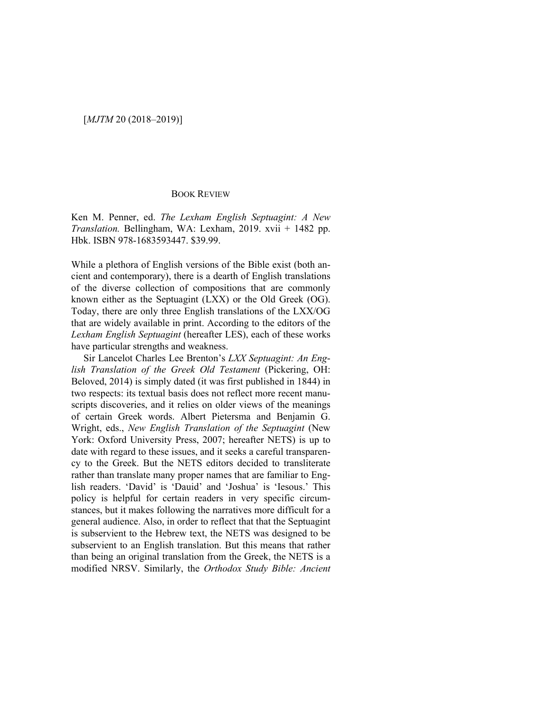## BOOK REVIEW

Ken M. Penner, ed. *The Lexham English Septuagint: A New Translation.* Bellingham, WA: Lexham, 2019. xvii + 1482 pp. Hbk. ISBN 978-1683593447. \$39.99.

While a plethora of English versions of the Bible exist (both ancient and contemporary), there is a dearth of English translations of the diverse collection of compositions that are commonly known either as the Septuagint (LXX) or the Old Greek (OG). Today, there are only three English translations of the LXX/OG that are widely available in print. According to the editors of the *Lexham English Septuagint* (hereafter LES), each of these works have particular strengths and weakness.

Sir Lancelot Charles Lee Brenton's *LXX Septuagint: An English Translation of the Greek Old Testament* (Pickering, OH: Beloved, 2014) is simply dated (it was first published in 1844) in two respects: its textual basis does not reflect more recent manuscripts discoveries, and it relies on older views of the meanings of certain Greek words. Albert Pietersma and Benjamin G. Wright, eds., *New English Translation of the Septuagint* (New York: Oxford University Press, 2007; hereafter NETS) is up to date with regard to these issues, and it seeks a careful transparency to the Greek. But the NETS editors decided to transliterate rather than translate many proper names that are familiar to English readers. 'David' is 'Dauid' and 'Joshua' is 'Iesous.' This policy is helpful for certain readers in very specific circumstances, but it makes following the narratives more difficult for a general audience. Also, in order to reflect that that the Septuagint is subservient to the Hebrew text, the NETS was designed to be subservient to an English translation. But this means that rather than being an original translation from the Greek, the NETS is a modified NRSV. Similarly, the *Orthodox Study Bible: Ancient*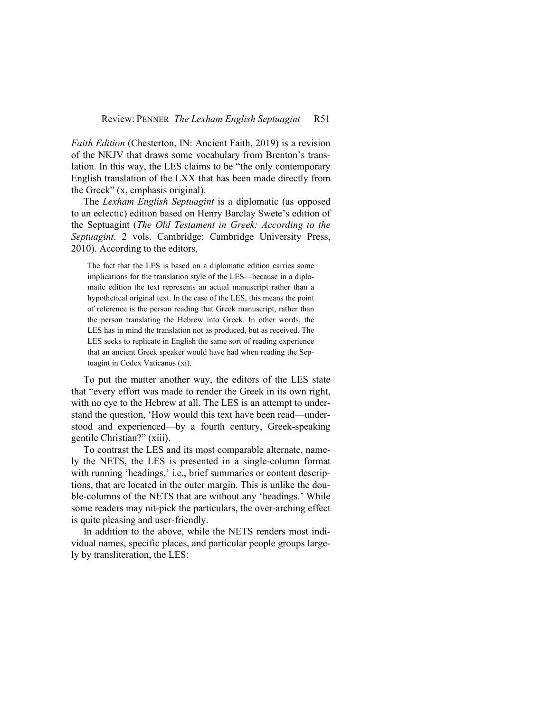*Faith Edition* (Chesterton, IN: Ancient Faith, 2019) is a revision of the NKJV that draws some vocabulary from Brenton's translation. In this way, the LES claims to be "the only contemporary English translation of the LXX that has been made directly from the Greek" (x, emphasis original).

The *Lexham English Septuagint* is a diplomatic (as opposed to an eclectic) edition based on Henry Barclay Swete's edition of the Septuagint (*The Old Testament in Greek: According to the Septuagint*. 2 vols. Cambridge: Cambridge University Press, 2010). According to the editors,

The fact that the LES is based on a diplomatic edition carries some implications for the translation style of the LES—because in a diplomatic edition the text represents an actual manuscript rather than a hypothetical original text. In the case of the LES, this means the point of reference is the person reading that Greek manuscript, rather than the person translating the Hebrew into Greek. In other words, the LES has in mind the translation not as produced, but as received. The LES seeks to replicate in English the same sort of reading experience that an ancient Greek speaker would have had when reading the Septuagint in Codex Vaticanus (xi).

To put the matter another way, the editors of the LES state that "every effort was made to render the Greek in its own right, with no eye to the Hebrew at all. The LES is an attempt to understand the question, 'How would this text have been read—understood and experienced—by a fourth century, Greek-speaking gentile Christian?" (xiii).

To contrast the LES and its most comparable alternate, namely the NETS, the LES is presented in a single-column format with running 'headings,' i.e., brief summaries or content descriptions, that are located in the outer margin. This is unlike the double-columns of the NETS that are without any 'headings.' While some readers may nit-pick the particulars, the over-arching effect is quite pleasing and user-friendly.

In addition to the above, while the NETS renders most individual names, specific places, and particular people groups largely by transliteration, the LES: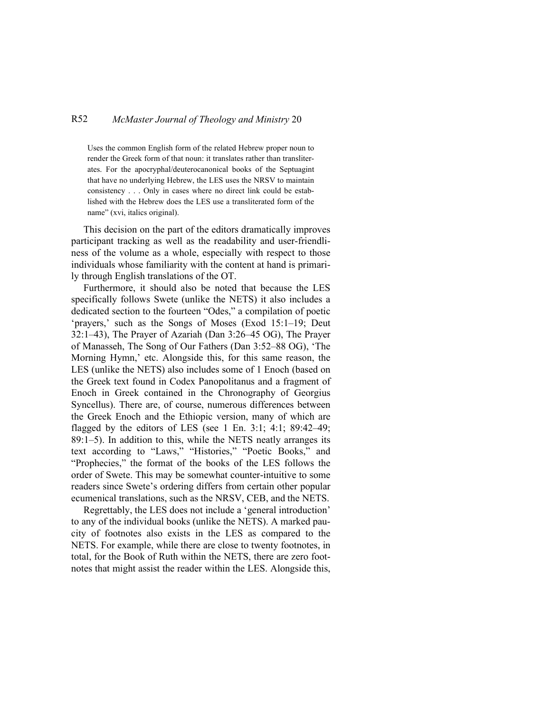## R52 *McMaster Journal of Theology and Ministry* 20

Uses the common English form of the related Hebrew proper noun to render the Greek form of that noun: it translates rather than transliterates. For the apocryphal/deuterocanonical books of the Septuagint that have no underlying Hebrew, the LES uses the NRSV to maintain consistency . . . Only in cases where no direct link could be established with the Hebrew does the LES use a transliterated form of the name" (xvi, italics original).

This decision on the part of the editors dramatically improves participant tracking as well as the readability and user-friendliness of the volume as a whole, especially with respect to those individuals whose familiarity with the content at hand is primarily through English translations of the OT.

Furthermore, it should also be noted that because the LES specifically follows Swete (unlike the NETS) it also includes a dedicated section to the fourteen "Odes," a compilation of poetic 'prayers,' such as the Songs of Moses (Exod 15:1–19; Deut 32:1–43), The Prayer of Azariah (Dan 3:26–45 OG), The Prayer of Manasseh, The Song of Our Fathers (Dan 3:52–88 OG), 'The Morning Hymn,' etc. Alongside this, for this same reason, the LES (unlike the NETS) also includes some of 1 Enoch (based on the Greek text found in Codex Panopolitanus and a fragment of Enoch in Greek contained in the Chronography of Georgius Syncellus). There are, of course, numerous differences between the Greek Enoch and the Ethiopic version, many of which are flagged by the editors of LES (see 1 En. 3:1; 4:1; 89:42–49; 89:1–5). In addition to this, while the NETS neatly arranges its text according to "Laws," "Histories," "Poetic Books," and "Prophecies," the format of the books of the LES follows the order of Swete. This may be somewhat counter-intuitive to some readers since Swete's ordering differs from certain other popular ecumenical translations, such as the NRSV, CEB, and the NETS.

Regrettably, the LES does not include a 'general introduction' to any of the individual books (unlike the NETS). A marked paucity of footnotes also exists in the LES as compared to the NETS. For example, while there are close to twenty footnotes, in total, for the Book of Ruth within the NETS, there are zero footnotes that might assist the reader within the LES. Alongside this,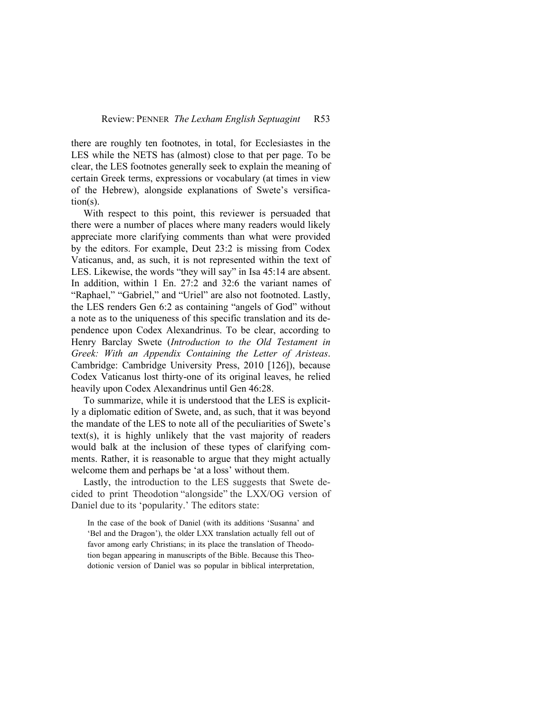there are roughly ten footnotes, in total, for Ecclesiastes in the LES while the NETS has (almost) close to that per page. To be clear, the LES footnotes generally seek to explain the meaning of certain Greek terms, expressions or vocabulary (at times in view of the Hebrew), alongside explanations of Swete's versification(s).

With respect to this point, this reviewer is persuaded that there were a number of places where many readers would likely appreciate more clarifying comments than what were provided by the editors. For example, Deut 23:2 is missing from Codex Vaticanus, and, as such, it is not represented within the text of LES. Likewise, the words "they will say" in Isa 45:14 are absent. In addition, within 1 En. 27:2 and 32:6 the variant names of "Raphael," "Gabriel," and "Uriel" are also not footnoted. Lastly, the LES renders Gen 6:2 as containing "angels of God" without a note as to the uniqueness of this specific translation and its dependence upon Codex Alexandrinus. To be clear, according to Henry Barclay Swete (*Introduction to the Old Testament in Greek: With an Appendix Containing the Letter of Aristeas*. Cambridge: Cambridge University Press, 2010 [126]), because Codex Vaticanus lost thirty-one of its original leaves, he relied heavily upon Codex Alexandrinus until Gen 46:28.

To summarize, while it is understood that the LES is explicitly a diplomatic edition of Swete, and, as such, that it was beyond the mandate of the LES to note all of the peculiarities of Swete's text(s), it is highly unlikely that the vast majority of readers would balk at the inclusion of these types of clarifying comments. Rather, it is reasonable to argue that they might actually welcome them and perhaps be 'at a loss' without them.

Lastly, the introduction to the LES suggests that Swete decided to print Theodotion "alongside" the LXX/OG version of Daniel due to its 'popularity.' The editors state:

In the case of the book of Daniel (with its additions 'Susanna' and 'Bel and the Dragon'), the older LXX translation actually fell out of favor among early Christians; in its place the translation of Theodotion began appearing in manuscripts of the Bible. Because this Theodotionic version of Daniel was so popular in biblical interpretation,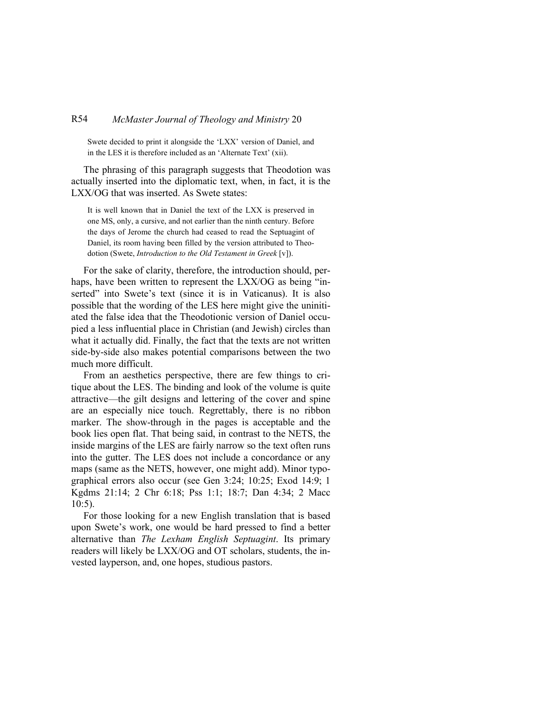## R54 *McMaster Journal of Theology and Ministry* 20

Swete decided to print it alongside the 'LXX' version of Daniel, and in the LES it is therefore included as an 'Alternate Text' (xii).

The phrasing of this paragraph suggests that Theodotion was actually inserted into the diplomatic text, when, in fact, it is the LXX/OG that was inserted. As Swete states:

It is well known that in Daniel the text of the LXX is preserved in one MS, only, a cursive, and not earlier than the ninth century. Before the days of Jerome the church had ceased to read the Septuagint of Daniel, its room having been filled by the version attributed to Theodotion (Swete, *Introduction to the Old Testament in Greek* [v]).

For the sake of clarity, therefore, the introduction should, perhaps, have been written to represent the LXX/OG as being "inserted" into Swete's text (since it is in Vaticanus). It is also possible that the wording of the LES here might give the uninitiated the false idea that the Theodotionic version of Daniel occupied a less influential place in Christian (and Jewish) circles than what it actually did. Finally, the fact that the texts are not written side-by-side also makes potential comparisons between the two much more difficult.

From an aesthetics perspective, there are few things to critique about the LES. The binding and look of the volume is quite attractive—the gilt designs and lettering of the cover and spine are an especially nice touch. Regrettably, there is no ribbon marker. The show-through in the pages is acceptable and the book lies open flat. That being said, in contrast to the NETS, the inside margins of the LES are fairly narrow so the text often runs into the gutter. The LES does not include a concordance or any maps (same as the NETS, however, one might add). Minor typographical errors also occur (see Gen 3:24; 10:25; Exod 14:9; 1 Kgdms 21:14; 2 Chr 6:18; Pss 1:1; 18:7; Dan 4:34; 2 Macc 10:5).

For those looking for a new English translation that is based upon Swete's work, one would be hard pressed to find a better alternative than *The Lexham English Septuagint*. Its primary readers will likely be LXX/OG and OT scholars, students, the invested layperson, and, one hopes, studious pastors.